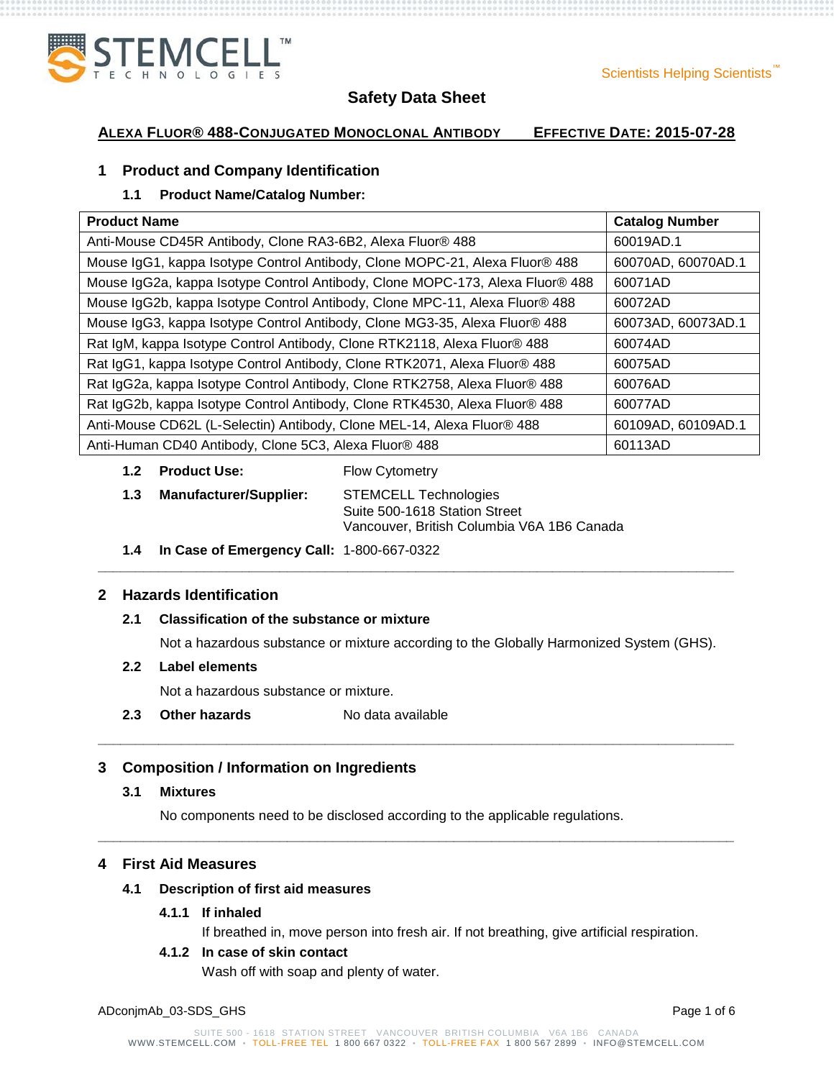

# **ALEXA FLUOR® 488-CONJUGATED MONOCLONAL ANTIBODY EFFECTIVE DATE: 2015-07-28**

# **1 Product and Company Identification**

# **1.1 Product Name/Catalog Number:**

| <b>Product Name</b>                                                           | <b>Catalog Number</b> |
|-------------------------------------------------------------------------------|-----------------------|
| Anti-Mouse CD45R Antibody, Clone RA3-6B2, Alexa Fluor® 488                    | 60019AD.1             |
| Mouse IgG1, kappa Isotype Control Antibody, Clone MOPC-21, Alexa Fluor® 488   | 60070AD, 60070AD.1    |
| Mouse IgG2a, kappa Isotype Control Antibody, Clone MOPC-173, Alexa Fluor® 488 | 60071AD               |
| Mouse IgG2b, kappa Isotype Control Antibody, Clone MPC-11, Alexa Fluor® 488   | 60072AD               |
| Mouse IgG3, kappa Isotype Control Antibody, Clone MG3-35, Alexa Fluor® 488    | 60073AD, 60073AD.1    |
| Rat IgM, kappa Isotype Control Antibody, Clone RTK2118, Alexa Fluor® 488      | 60074AD               |
| Rat IgG1, kappa Isotype Control Antibody, Clone RTK2071, Alexa Fluor® 488     | 60075AD               |
| Rat IgG2a, kappa Isotype Control Antibody, Clone RTK2758, Alexa Fluor® 488    | 60076AD               |
| Rat IgG2b, kappa Isotype Control Antibody, Clone RTK4530, Alexa Fluor® 488    | 60077AD               |
| Anti-Mouse CD62L (L-Selectin) Antibody, Clone MEL-14, Alexa Fluor® 488        | 60109AD, 60109AD.1    |
| Anti-Human CD40 Antibody, Clone 5C3, Alexa Fluor® 488                         | 60113AD               |

- **1.2 Product Use:** Flow Cytometry
- **1.3 Manufacturer/Supplier:** STEMCELL Technologies Suite 500-1618 Station Street Vancouver, British Columbia V6A 1B6 Canada
- **1.4 In Case of Emergency Call:** 1-800-667-0322

### **2 Hazards Identification**

#### **2.1 Classification of the substance or mixture**

Not a hazardous substance or mixture according to the Globally Harmonized System (GHS).

**\_\_\_\_\_\_\_\_\_\_\_\_\_\_\_\_\_\_\_\_\_\_\_\_\_\_\_\_\_\_\_\_\_\_\_\_\_\_\_\_\_\_\_\_\_\_\_\_\_\_\_\_\_\_\_\_\_\_\_\_\_\_\_\_\_\_\_\_\_\_\_\_\_\_\_\_\_\_\_\_\_\_\_\_**

**\_\_\_\_\_\_\_\_\_\_\_\_\_\_\_\_\_\_\_\_\_\_\_\_\_\_\_\_\_\_\_\_\_\_\_\_\_\_\_\_\_\_\_\_\_\_\_\_\_\_\_\_\_\_\_\_\_\_\_\_\_\_\_\_\_\_\_\_\_\_\_\_\_\_\_\_\_\_\_\_\_\_\_\_**

**\_\_\_\_\_\_\_\_\_\_\_\_\_\_\_\_\_\_\_\_\_\_\_\_\_\_\_\_\_\_\_\_\_\_\_\_\_\_\_\_\_\_\_\_\_\_\_\_\_\_\_\_\_\_\_\_\_\_\_\_\_\_\_\_\_\_\_\_\_\_\_\_\_\_\_\_\_\_\_\_\_\_\_\_**

#### **2.2 Label elements**

Not a hazardous substance or mixture.

**2.3 Other hazards** No data available

#### **3 Composition / Information on Ingredients**

#### **3.1 Mixtures**

No components need to be disclosed according to the applicable regulations.

### **4 First Aid Measures**

#### **4.1 Description of first aid measures**

#### **4.1.1 If inhaled**

If breathed in, move person into fresh air. If not breathing, give artificial respiration.

# **4.1.2 In case of skin contact**

Wash off with soap and plenty of water.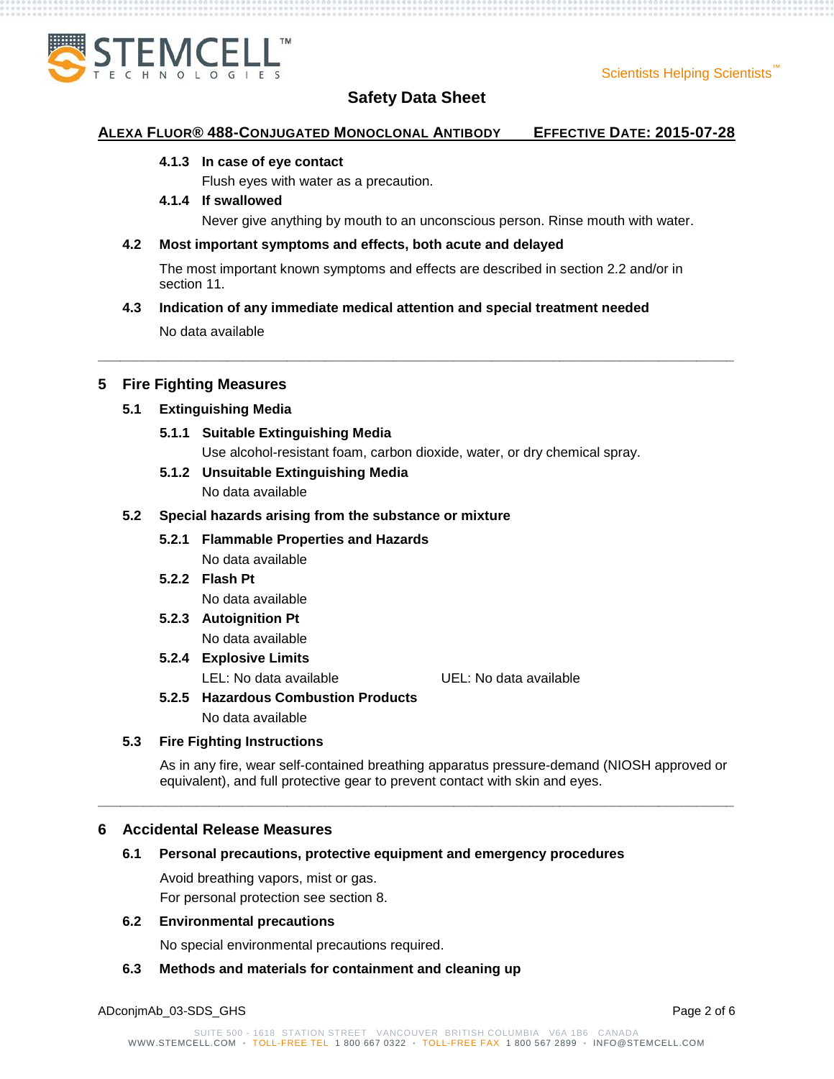

#### **ALEXA FLUOR® 488-CONJUGATED MONOCLONAL ANTIBODY EFFECTIVE DATE: 2015-07-28**

#### **4.1.3 In case of eye contact**

Flush eyes with water as a precaution.

#### **4.1.4 If swallowed**

Never give anything by mouth to an unconscious person. Rinse mouth with water.

#### **4.2 Most important symptoms and effects, both acute and delayed**

The most important known symptoms and effects are described in section 2.2 and/or in section 11.

**\_\_\_\_\_\_\_\_\_\_\_\_\_\_\_\_\_\_\_\_\_\_\_\_\_\_\_\_\_\_\_\_\_\_\_\_\_\_\_\_\_\_\_\_\_\_\_\_\_\_\_\_\_\_\_\_\_\_\_\_\_\_\_\_\_\_\_\_\_\_\_\_\_\_\_\_\_\_\_\_\_\_\_\_**

#### **4.3 Indication of any immediate medical attention and special treatment needed**

No data available

#### **5 Fire Fighting Measures**

#### **5.1 Extinguishing Media**

#### **5.1.1 Suitable Extinguishing Media**

Use alcohol-resistant foam, carbon dioxide, water, or dry chemical spray.

# **5.1.2 Unsuitable Extinguishing Media**

No data available

#### **5.2 Special hazards arising from the substance or mixture**

# **5.2.1 Flammable Properties and Hazards**

- No data available
- **5.2.2 Flash Pt** No data available

#### **5.2.3 Autoignition Pt** No data available

# **5.2.4 Explosive Limits**

LEL: No data available UEL: No data available

# **5.2.5 Hazardous Combustion Products**

No data available

### **5.3 Fire Fighting Instructions**

As in any fire, wear self-contained breathing apparatus pressure-demand (NIOSH approved or equivalent), and full protective gear to prevent contact with skin and eyes.

**\_\_\_\_\_\_\_\_\_\_\_\_\_\_\_\_\_\_\_\_\_\_\_\_\_\_\_\_\_\_\_\_\_\_\_\_\_\_\_\_\_\_\_\_\_\_\_\_\_\_\_\_\_\_\_\_\_\_\_\_\_\_\_\_\_\_\_\_\_\_\_\_\_\_\_\_\_\_\_\_\_\_\_\_**

#### **6 Accidental Release Measures**

#### **6.1 Personal precautions, protective equipment and emergency procedures**

Avoid breathing vapors, mist or gas. For personal protection see section 8.

#### **6.2 Environmental precautions**

No special environmental precautions required.

#### **6.3 Methods and materials for containment and cleaning up**

ADconjmAb\_03-SDS\_GHS Page 2 of 6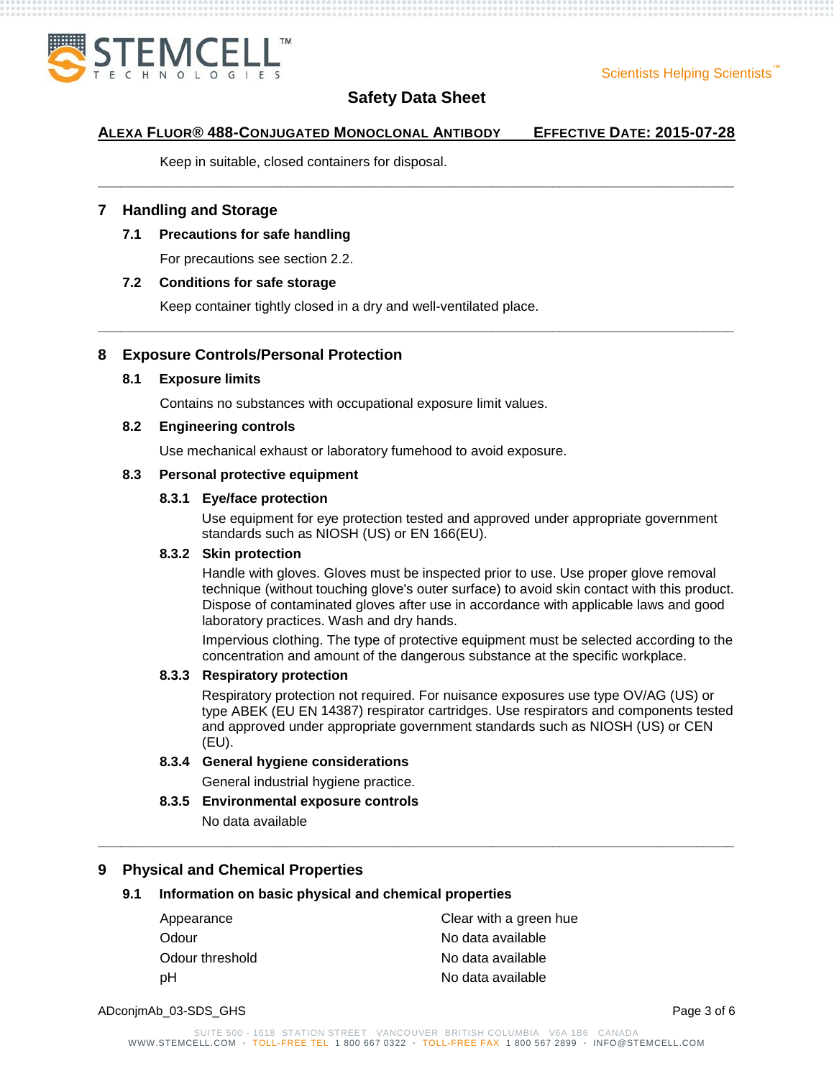

### **ALEXA FLUOR® 488-CONJUGATED MONOCLONAL ANTIBODY EFFECTIVE DATE: 2015-07-28**

**\_\_\_\_\_\_\_\_\_\_\_\_\_\_\_\_\_\_\_\_\_\_\_\_\_\_\_\_\_\_\_\_\_\_\_\_\_\_\_\_\_\_\_\_\_\_\_\_\_\_\_\_\_\_\_\_\_\_\_\_\_\_\_\_\_\_\_\_\_\_\_\_\_\_\_\_\_\_\_\_\_\_\_\_**

**\_\_\_\_\_\_\_\_\_\_\_\_\_\_\_\_\_\_\_\_\_\_\_\_\_\_\_\_\_\_\_\_\_\_\_\_\_\_\_\_\_\_\_\_\_\_\_\_\_\_\_\_\_\_\_\_\_\_\_\_\_\_\_\_\_\_\_\_\_\_\_\_\_\_\_\_\_\_\_\_\_\_\_\_**

Keep in suitable, closed containers for disposal.

### **7 Handling and Storage**

#### **7.1 Precautions for safe handling**

For precautions see section 2.2.

#### **7.2 Conditions for safe storage**

Keep container tightly closed in a dry and well-ventilated place.

#### **8 Exposure Controls/Personal Protection**

#### **8.1 Exposure limits**

Contains no substances with occupational exposure limit values.

#### **8.2 Engineering controls**

Use mechanical exhaust or laboratory fumehood to avoid exposure.

#### **8.3 Personal protective equipment**

#### **8.3.1 Eye/face protection**

Use equipment for eye protection tested and approved under appropriate government standards such as NIOSH (US) or EN 166(EU).

#### **8.3.2 Skin protection**

Handle with gloves. Gloves must be inspected prior to use. Use proper glove removal technique (without touching glove's outer surface) to avoid skin contact with this product. Dispose of contaminated gloves after use in accordance with applicable laws and good laboratory practices. Wash and dry hands.

Impervious clothing. The type of protective equipment must be selected according to the concentration and amount of the dangerous substance at the specific workplace.

#### **8.3.3 Respiratory protection**

Respiratory protection not required. For nuisance exposures use type OV/AG (US) or type ABEK (EU EN 14387) respirator cartridges. Use respirators and components tested and approved under appropriate government standards such as NIOSH (US) or CEN (EU).

#### **8.3.4 General hygiene considerations**

General industrial hygiene practice.

#### **8.3.5 Environmental exposure controls**

No data available

# **9 Physical and Chemical Properties**

#### **9.1 Information on basic physical and chemical properties**

| Clear with a green hue |  |
|------------------------|--|
| No data available      |  |
| No data available      |  |
| No data available      |  |
|                        |  |

ADconjmAb\_03-SDS\_GHS Page 3 of 6

**\_\_\_\_\_\_\_\_\_\_\_\_\_\_\_\_\_\_\_\_\_\_\_\_\_\_\_\_\_\_\_\_\_\_\_\_\_\_\_\_\_\_\_\_\_\_\_\_\_\_\_\_\_\_\_\_\_\_\_\_\_\_\_\_\_\_\_\_\_\_\_\_\_\_\_\_\_\_\_\_\_\_\_\_**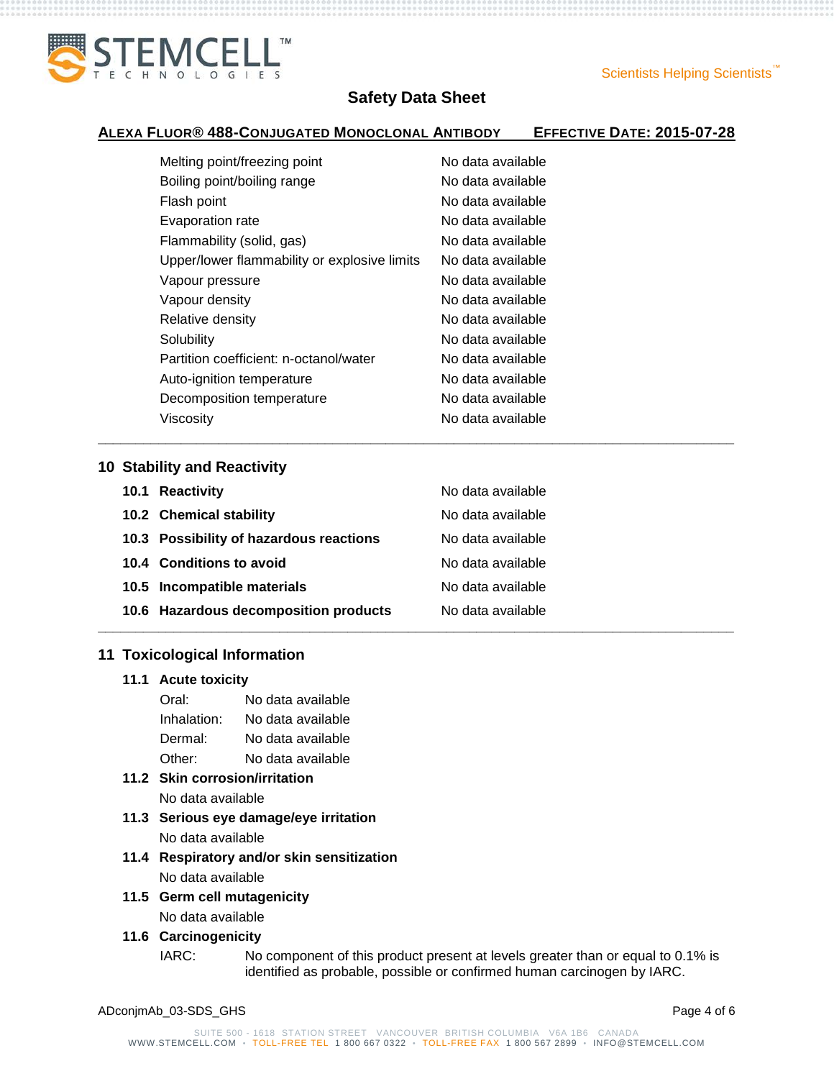

### **ALEXA FLUOR® 488-CONJUGATED MONOCLONAL ANTIBODY EFFECTIVE DATE: 2015-07-28**

**\_\_\_\_\_\_\_\_\_\_\_\_\_\_\_\_\_\_\_\_\_\_\_\_\_\_\_\_\_\_\_\_\_\_\_\_\_\_\_\_\_\_\_\_\_\_\_\_\_\_\_\_\_\_\_\_\_\_\_\_\_\_\_\_\_\_\_\_\_\_\_\_\_\_\_\_\_\_\_\_\_\_\_\_**

| Melting point/freezing point                 | No data available |
|----------------------------------------------|-------------------|
| Boiling point/boiling range                  | No data available |
| Flash point                                  | No data available |
| Evaporation rate                             | No data available |
| Flammability (solid, gas)                    | No data available |
| Upper/lower flammability or explosive limits | No data available |
| Vapour pressure                              | No data available |
| Vapour density                               | No data available |
| Relative density                             | No data available |
| Solubility                                   | No data available |
| Partition coefficient: n-octanol/water       | No data available |
| Auto-ignition temperature                    | No data available |
| Decomposition temperature                    | No data available |
| Viscosity                                    | No data available |
|                                              |                   |

#### **10 Stability and Reactivity**

| 10.1 Reactivity                         | No data available |
|-----------------------------------------|-------------------|
| 10.2 Chemical stability                 | No data available |
| 10.3 Possibility of hazardous reactions | No data available |
| 10.4 Conditions to avoid                | No data available |
| 10.5 Incompatible materials             | No data available |
| 10.6 Hazardous decomposition products   | No data available |
|                                         |                   |

### **11 Toxicological Information**

#### **11.1 Acute toxicity**

| Oral:       | No data available |
|-------------|-------------------|
| Inhalation: | No data available |
| Dermal:     | No data available |
| Other:      | No data available |

# **11.2 Skin corrosion/irritation** No data available

- **11.3 Serious eye damage/eye irritation** No data available
- **11.4 Respiratory and/or skin sensitization** No data available
- **11.5 Germ cell mutagenicity** No data available

# **11.6 Carcinogenicity**

IARC: No component of this product present at levels greater than or equal to 0.1% is identified as probable, possible or confirmed human carcinogen by IARC.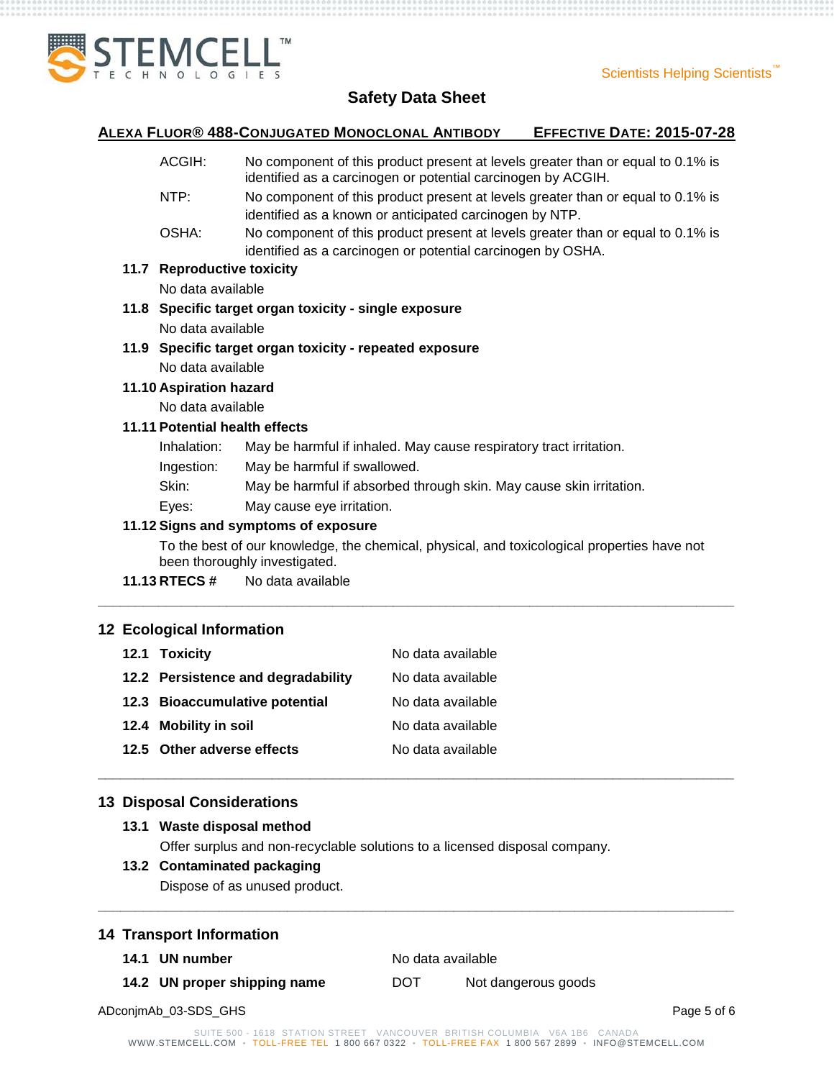

#### **ALEXA FLUOR® 488-CONJUGATED MONOCLONAL ANTIBODY EFFECTIVE DATE: 2015-07-28**

- ACGIH: No component of this product present at levels greater than or equal to 0.1% is identified as a carcinogen or potential carcinogen by ACGIH.
- NTP: No component of this product present at levels greater than or equal to 0.1% is identified as a known or anticipated carcinogen by NTP.
- OSHA: No component of this product present at levels greater than or equal to 0.1% is identified as a carcinogen or potential carcinogen by OSHA.

#### **11.7 Reproductive toxicity**

No data available

## **11.8 Specific target organ toxicity - single exposure** No data available

**11.9 Specific target organ toxicity - repeated exposure**

No data available

# **11.10 Aspiration hazard**

No data available

#### **11.11 Potential health effects**

- Inhalation: May be harmful if inhaled. May cause respiratory tract irritation.
- Ingestion: May be harmful if swallowed.
- Skin: May be harmful if absorbed through skin. May cause skin irritation.
- Eyes: May cause eye irritation.

#### **11.12 Signs and symptoms of exposure**

To the best of our knowledge, the chemical, physical, and toxicological properties have not been thoroughly investigated.

**\_\_\_\_\_\_\_\_\_\_\_\_\_\_\_\_\_\_\_\_\_\_\_\_\_\_\_\_\_\_\_\_\_\_\_\_\_\_\_\_\_\_\_\_\_\_\_\_\_\_\_\_\_\_\_\_\_\_\_\_\_\_\_\_\_\_\_\_\_\_\_\_\_\_\_\_\_\_\_\_\_\_\_\_**

**\_\_\_\_\_\_\_\_\_\_\_\_\_\_\_\_\_\_\_\_\_\_\_\_\_\_\_\_\_\_\_\_\_\_\_\_\_\_\_\_\_\_\_\_\_\_\_\_\_\_\_\_\_\_\_\_\_\_\_\_\_\_\_\_\_\_\_\_\_\_\_\_\_\_\_\_\_\_\_\_\_\_\_\_**

**\_\_\_\_\_\_\_\_\_\_\_\_\_\_\_\_\_\_\_\_\_\_\_\_\_\_\_\_\_\_\_\_\_\_\_\_\_\_\_\_\_\_\_\_\_\_\_\_\_\_\_\_\_\_\_\_\_\_\_\_\_\_\_\_\_\_\_\_\_\_\_\_\_\_\_\_\_\_\_\_\_\_\_\_**

**11.13 RTECS #** No data available

# **12 Ecological Information**

| No data available                                                                                                                            |
|----------------------------------------------------------------------------------------------------------------------------------------------|
| No data available                                                                                                                            |
| No data available                                                                                                                            |
| No data available                                                                                                                            |
| No data available                                                                                                                            |
| 12.1 Toxicity<br>12.2 Persistence and degradability<br>12.3 Bioaccumulative potential<br>12.4 Mobility in soil<br>12.5 Other adverse effects |

#### **13 Disposal Considerations**

**13.1 Waste disposal method** Offer surplus and non-recyclable solutions to a licensed disposal company.

#### **13.2 Contaminated packaging**

Dispose of as unused product.

#### **14 Transport Information**

**14.1 UN number** No data available

**14.2 UN proper shipping name** DOT Not dangerous goods

ADconjmAb\_03-SDS\_GHS Page 5 of 6